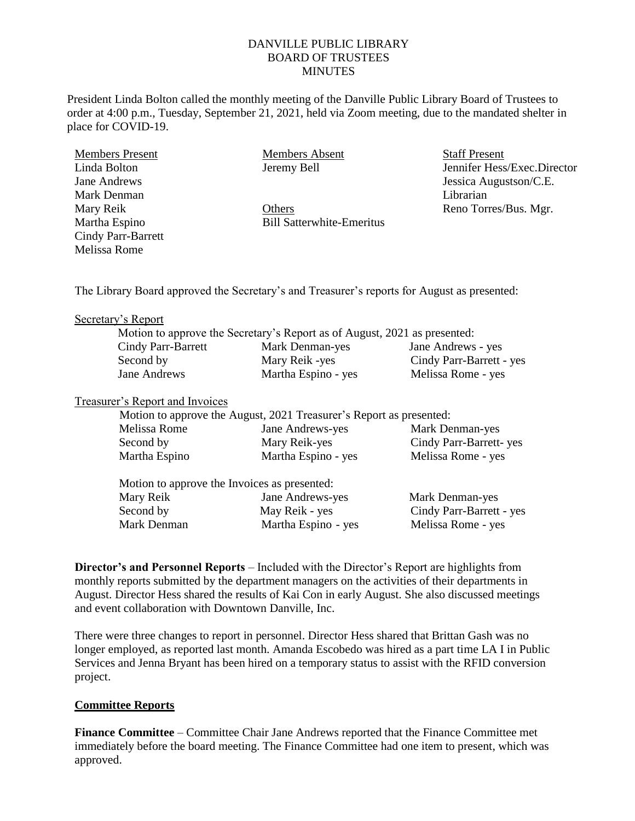## DANVILLE PUBLIC LIBRARY BOARD OF TRUSTEES **MINUTES**

President Linda Bolton called the monthly meeting of the Danville Public Library Board of Trustees to order at 4:00 p.m., Tuesday, September 21, 2021, held via Zoom meeting, due to the mandated shelter in place for COVID-19.

Members Present Linda Bolton Jane Andrews Mark Denman Mary Reik Martha Espino Cindy Parr-Barrett Melissa Rome

Members Absent Jeremy Bell

**Others** Bill Satterwhite-Emeritus Staff Present Jennifer Hess/Exec.Director Jessica Augustson/C.E. Librarian Reno Torres/Bus. Mgr.

The Library Board approved the Secretary's and Treasurer's reports for August as presented:

#### Secretary's Report

|                    | Motion to approve the Secretary's Report as of August, 2021 as presented: |                          |
|--------------------|---------------------------------------------------------------------------|--------------------------|
| Cindy Parr-Barrett | Mark Denman-yes                                                           | Jane Andrews - yes       |
| Second by          | Mary Reik -yes                                                            | Cindy Parr-Barrett - yes |
| Jane Andrews       | Martha Espino - yes                                                       | Melissa Rome - yes       |

### Treasurer's Report and Invoices

|               | Motion to approve the August, 2021 Treasurer's Report as presented: |                          |
|---------------|---------------------------------------------------------------------|--------------------------|
| Melissa Rome  | Jane Andrews-yes                                                    | Mark Denman-yes          |
| Second by     | Mary Reik-yes                                                       | Cindy Parr-Barrett-yes   |
| Martha Espino | Martha Espino - yes                                                 | Melissa Rome - yes       |
|               | Motion to approve the Invoices as presented:                        |                          |
| Mary Reik     | Jane Andrews-yes                                                    | Mark Denman-yes          |
| Second by     | May Reik - yes                                                      | Cindy Parr-Barrett - yes |
| Mark Denman   | Martha Espino - yes                                                 | Melissa Rome - yes       |

**Director's and Personnel Reports** – Included with the Director's Report are highlights from monthly reports submitted by the department managers on the activities of their departments in August. Director Hess shared the results of Kai Con in early August. She also discussed meetings and event collaboration with Downtown Danville, Inc.

There were three changes to report in personnel. Director Hess shared that Brittan Gash was no longer employed, as reported last month. Amanda Escobedo was hired as a part time LA I in Public Services and Jenna Bryant has been hired on a temporary status to assist with the RFID conversion project.

### **Committee Reports**

**Finance Committee** – Committee Chair Jane Andrews reported that the Finance Committee met immediately before the board meeting. The Finance Committee had one item to present, which was approved.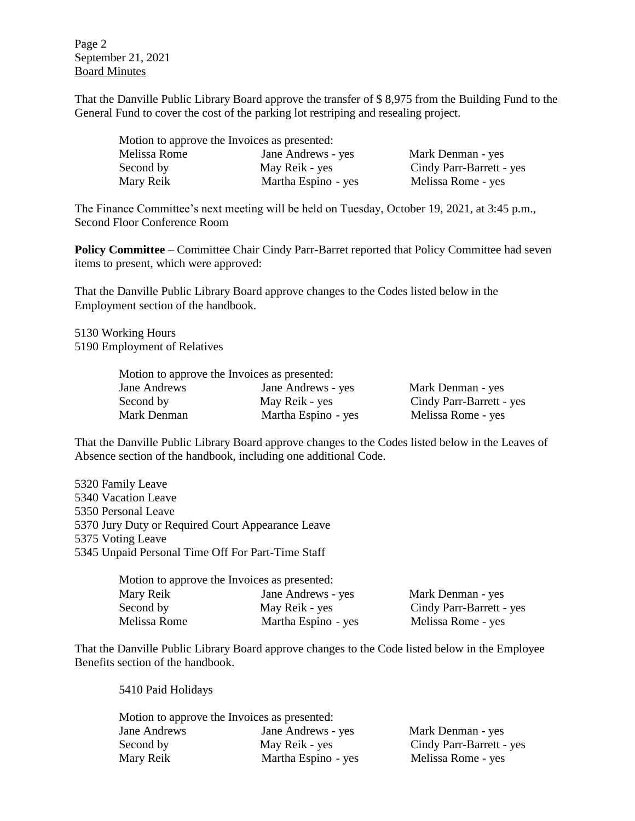Page 2 September 21, 2021 Board Minutes

That the Danville Public Library Board approve the transfer of \$ 8,975 from the Building Fund to the General Fund to cover the cost of the parking lot restriping and resealing project.

| Motion to approve the Invoices as presented: |                     |
|----------------------------------------------|---------------------|
| Melissa Rome                                 | Jane Andrews - yes  |
| Second by                                    | May Reik - yes      |
| Mary Reik                                    | Martha Espino - yes |

Mark Denman - yes Cindy Parr-Barrett - yes Melissa Rome - yes

The Finance Committee's next meeting will be held on Tuesday, October 19, 2021, at 3:45 p.m., Second Floor Conference Room

**Policy Committee** – Committee Chair Cindy Parr-Barret reported that Policy Committee had seven items to present, which were approved:

That the Danville Public Library Board approve changes to the Codes listed below in the Employment section of the handbook.

5130 Working Hours 5190 Employment of Relatives

|              | Motion to approve the Invoices as presented: |                          |
|--------------|----------------------------------------------|--------------------------|
| Jane Andrews | Jane Andrews - yes                           | Mark Denman - yes        |
| Second by    | May Reik - yes                               | Cindy Parr-Barrett - yes |
| Mark Denman  | Martha Espino - yes                          | Melissa Rome - yes       |

That the Danville Public Library Board approve changes to the Codes listed below in the Leaves of Absence section of the handbook, including one additional Code.

5320 Family Leave 5340 Vacation Leave 5350 Personal Leave 5370 Jury Duty or Required Court Appearance Leave 5375 Voting Leave 5345 Unpaid Personal Time Off For Part-Time Staff

| Motion to approve the Invoices as presented: |                     |                          |  |
|----------------------------------------------|---------------------|--------------------------|--|
| Mary Reik                                    | Jane Andrews - yes  | Mark Denman - yes        |  |
| Second by                                    | May Reik - yes      | Cindy Parr-Barrett - yes |  |
| Melissa Rome                                 | Martha Espino - yes | Melissa Rome - yes       |  |

That the Danville Public Library Board approve changes to the Code listed below in the Employee Benefits section of the handbook.

5410 Paid Holidays

Motion to approve the Invoices as presented: Jane Andrews Jane Andrews - yes Mark Denman - yes Second by May Reik - yes Cindy Parr-Barrett - yes Mary Reik Martha Espino - yes Melissa Rome - yes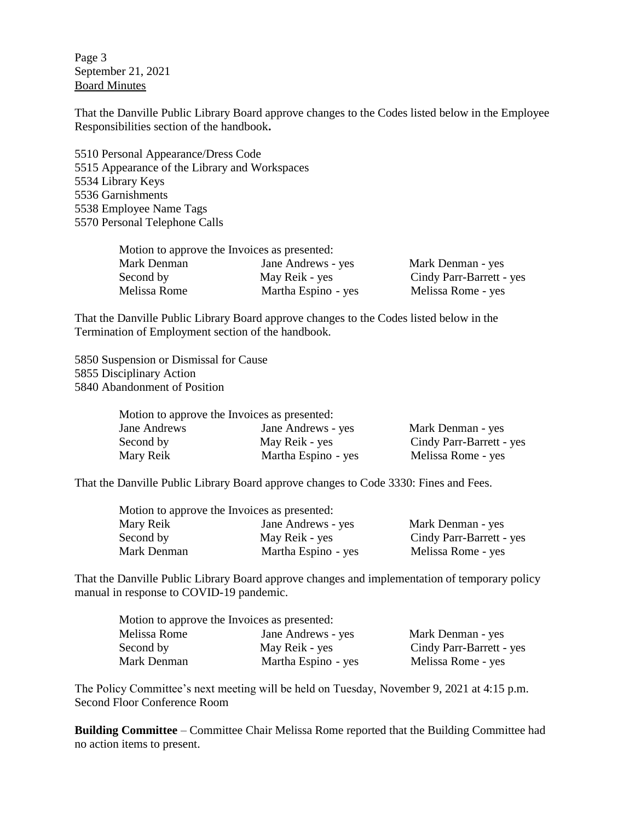Page 3 September 21, 2021 Board Minutes

That the Danville Public Library Board approve changes to the Codes listed below in the Employee Responsibilities section of the handbook**.** 

5510 Personal Appearance/Dress Code 5515 Appearance of the Library and Workspaces 5534 Library Keys 5536 Garnishments 5538 Employee Name Tags 5570 Personal Telephone Calls

|              | Motion to approve the Invoices as presented: |                          |
|--------------|----------------------------------------------|--------------------------|
| Mark Denman  | Jane Andrews - yes                           | Mark Denman - yes        |
| Second by    | May Reik - yes                               | Cindy Parr-Barrett - yes |
| Melissa Rome | Martha Espino - yes                          | Melissa Rome - yes       |

That the Danville Public Library Board approve changes to the Codes listed below in the Termination of Employment section of the handbook.

5850 Suspension or Dismissal for Cause 5855 Disciplinary Action 5840 Abandonment of Position

|              | Motion to approve the Invoices as presented: |                          |
|--------------|----------------------------------------------|--------------------------|
| Jane Andrews | Jane Andrews - yes                           | Mark Denman - yes        |
| Second by    | May Reik - yes                               | Cindy Parr-Barrett - yes |
| Mary Reik    | Martha Espino - yes                          | Melissa Rome - yes       |

That the Danville Public Library Board approve changes to Code 3330: Fines and Fees.

|             | Motion to approve the Invoices as presented: |                          |
|-------------|----------------------------------------------|--------------------------|
| Mary Reik   | Jane Andrews - yes                           | Mark Denman - yes        |
| Second by   | May Reik - yes                               | Cindy Parr-Barrett - yes |
| Mark Denman | Martha Espino - yes                          | Melissa Rome - yes       |

That the Danville Public Library Board approve changes and implementation of temporary policy manual in response to COVID-19 pandemic.

|              | Motion to approve the Invoices as presented: |                          |
|--------------|----------------------------------------------|--------------------------|
| Melissa Rome | Jane Andrews - yes                           | Mark Denman - yes        |
| Second by    | May Reik - yes                               | Cindy Parr-Barrett - yes |
| Mark Denman  | Martha Espino - yes                          | Melissa Rome - yes       |

The Policy Committee's next meeting will be held on Tuesday, November 9, 2021 at 4:15 p.m. Second Floor Conference Room

**Building Committee** – Committee Chair Melissa Rome reported that the Building Committee had no action items to present.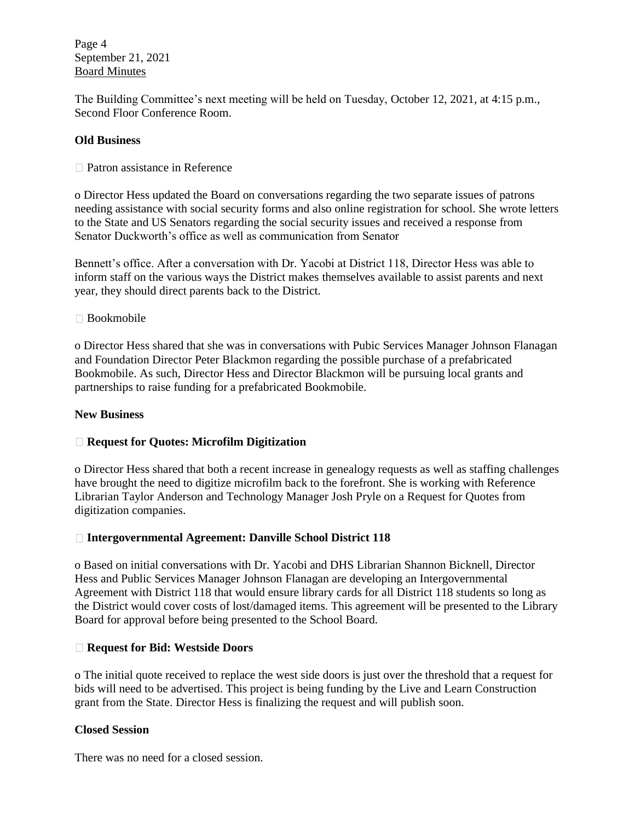Page 4 September 21, 2021 Board Minutes

The Building Committee's next meeting will be held on Tuesday, October 12, 2021, at 4:15 p.m., Second Floor Conference Room.

## **Old Business**

 $\Box$  Patron assistance in Reference

o Director Hess updated the Board on conversations regarding the two separate issues of patrons needing assistance with social security forms and also online registration for school. She wrote letters to the State and US Senators regarding the social security issues and received a response from Senator Duckworth's office as well as communication from Senator

Bennett's office. After a conversation with Dr. Yacobi at District 118, Director Hess was able to inform staff on the various ways the District makes themselves available to assist parents and next year, they should direct parents back to the District.

### $\Box$  Bookmobile

o Director Hess shared that she was in conversations with Pubic Services Manager Johnson Flanagan and Foundation Director Peter Blackmon regarding the possible purchase of a prefabricated Bookmobile. As such, Director Hess and Director Blackmon will be pursuing local grants and partnerships to raise funding for a prefabricated Bookmobile.

### **New Business**

## **Request for Quotes: Microfilm Digitization**

o Director Hess shared that both a recent increase in genealogy requests as well as staffing challenges have brought the need to digitize microfilm back to the forefront. She is working with Reference Librarian Taylor Anderson and Technology Manager Josh Pryle on a Request for Quotes from digitization companies.

### **Intergovernmental Agreement: Danville School District 118**

o Based on initial conversations with Dr. Yacobi and DHS Librarian Shannon Bicknell, Director Hess and Public Services Manager Johnson Flanagan are developing an Intergovernmental Agreement with District 118 that would ensure library cards for all District 118 students so long as the District would cover costs of lost/damaged items. This agreement will be presented to the Library Board for approval before being presented to the School Board.

## **Request for Bid: Westside Doors**

o The initial quote received to replace the west side doors is just over the threshold that a request for bids will need to be advertised. This project is being funding by the Live and Learn Construction grant from the State. Director Hess is finalizing the request and will publish soon.

# **Closed Session**

There was no need for a closed session.